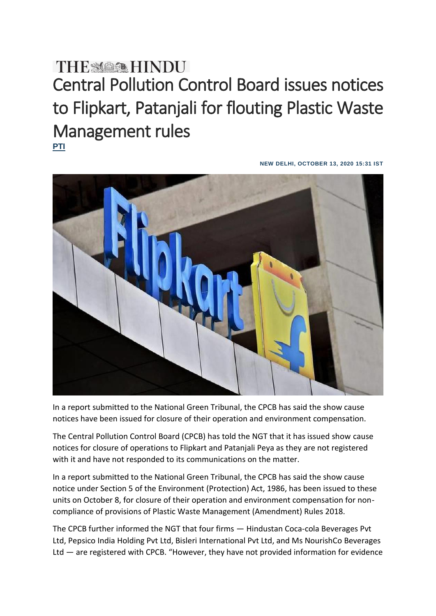## Central Pollution Control Board issues notices to Flipkart, Patanjali for flouting Plastic Waste Management rules **[PTI](https://www.thehindu.com/sci-tech/energy-and-environment/show-cause-notices-for-closure-issued-to-flipkart-patanjali-over-pwm-rules-cpcb-tells-ngt/article32842827.ece)**

**NEW DELHI, OCTOBER 13, 2020 15:31 IST**



In a report submitted to the National Green Tribunal, the CPCB has said the show cause notices have been issued for closure of their operation and environment compensation.

The Central Pollution Control Board (CPCB) has told the NGT that it has issued show cause notices for closure of operations to Flipkart and Patanjali Peya as they are not registered with it and have not responded to its communications on the matter.

In a report submitted to the National Green Tribunal, the CPCB has said the show cause notice under Section 5 of the Environment (Protection) Act, 1986, has been issued to these units on October 8, for closure of their operation and environment compensation for noncompliance of provisions of Plastic Waste Management (Amendment) Rules 2018.

The CPCB further informed the NGT that four firms — Hindustan Coca-cola Beverages Pvt Ltd, Pepsico India Holding Pvt Ltd, Bisleri International Pvt Ltd, and Ms NourishCo Beverages Ltd — are registered with CPCB. "However, they have not provided information for evidence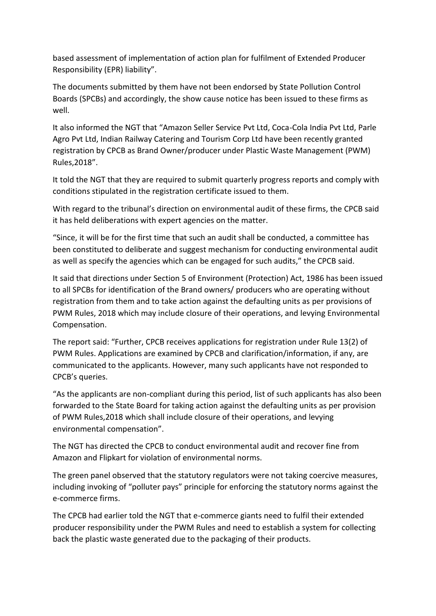based assessment of implementation of action plan for fulfilment of Extended Producer Responsibility (EPR) liability".

The documents submitted by them have not been endorsed by State Pollution Control Boards (SPCBs) and accordingly, the show cause notice has been issued to these firms as well.

It also informed the NGT that "Amazon Seller Service Pvt Ltd, Coca-Cola India Pvt Ltd, Parle Agro Pvt Ltd, Indian Railway Catering and Tourism Corp Ltd have been recently granted registration by CPCB as Brand Owner/producer under Plastic Waste Management (PWM) Rules,2018".

It told the NGT that they are required to submit quarterly progress reports and comply with conditions stipulated in the registration certificate issued to them.

With regard to the tribunal's direction on environmental audit of these firms, the CPCB said it has held deliberations with expert agencies on the matter.

"Since, it will be for the first time that such an audit shall be conducted, a committee has been constituted to deliberate and suggest mechanism for conducting environmental audit as well as specify the agencies which can be engaged for such audits," the CPCB said.

It said that directions under Section 5 of Environment (Protection) Act, 1986 has been issued to all SPCBs for identification of the Brand owners/ producers who are operating without registration from them and to take action against the defaulting units as per provisions of PWM Rules, 2018 which may include closure of their operations, and levying Environmental Compensation.

The report said: "Further, CPCB receives applications for registration under Rule 13(2) of PWM Rules. Applications are examined by CPCB and clarification/information, if any, are communicated to the applicants. However, many such applicants have not responded to CPCB's queries.

"As the applicants are non-compliant during this period, list of such applicants has also been forwarded to the State Board for taking action against the defaulting units as per provision of PWM Rules,2018 which shall include closure of their operations, and levying environmental compensation".

The NGT has directed the CPCB to conduct environmental audit and recover fine from Amazon and Flipkart for violation of environmental norms.

The green panel observed that the statutory regulators were not taking coercive measures, including invoking of "polluter pays" principle for enforcing the statutory norms against the e-commerce firms.

The CPCB had earlier told the NGT that e-commerce giants need to fulfil their extended producer responsibility under the PWM Rules and need to establish a system for collecting back the plastic waste generated due to the packaging of their products.